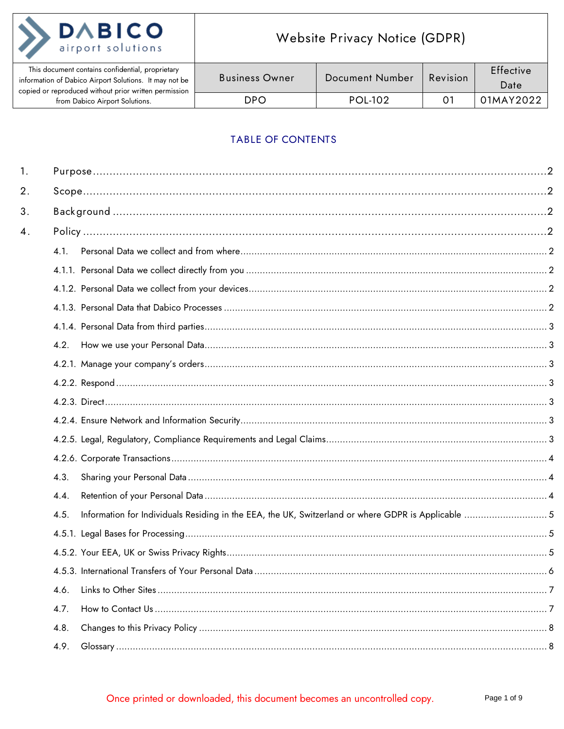

| This document contains confidential, proprietary<br>information of Dabico Airport Solutions. It may not be<br>copied or reproduced without prior written permission | <b>Business Owner</b> | Document Number | Revision | <b>Effective</b><br>Date |
|---------------------------------------------------------------------------------------------------------------------------------------------------------------------|-----------------------|-----------------|----------|--------------------------|
| from Dabico Airport Solutions.                                                                                                                                      | DPO                   | POL-102         |          | 01MAY2022                |

# TABLE OF CONTENTS

| 1.                 |                                                                                                             |  |
|--------------------|-------------------------------------------------------------------------------------------------------------|--|
| 2.                 |                                                                                                             |  |
| 3.                 |                                                                                                             |  |
| $\boldsymbol{4}$ . |                                                                                                             |  |
|                    | 4.1.                                                                                                        |  |
|                    |                                                                                                             |  |
|                    |                                                                                                             |  |
|                    |                                                                                                             |  |
|                    |                                                                                                             |  |
|                    | 4.2.                                                                                                        |  |
|                    |                                                                                                             |  |
|                    |                                                                                                             |  |
|                    |                                                                                                             |  |
|                    |                                                                                                             |  |
|                    |                                                                                                             |  |
|                    |                                                                                                             |  |
|                    | 4.3.                                                                                                        |  |
|                    | 4.4.                                                                                                        |  |
|                    | Information for Individuals Residing in the EEA, the UK, Switzerland or where GDPR is Applicable  5<br>4.5. |  |
|                    |                                                                                                             |  |
|                    |                                                                                                             |  |
|                    |                                                                                                             |  |
|                    | 4.6.                                                                                                        |  |
|                    | 4.7.                                                                                                        |  |
|                    | 4.8.                                                                                                        |  |
|                    | 4.9.                                                                                                        |  |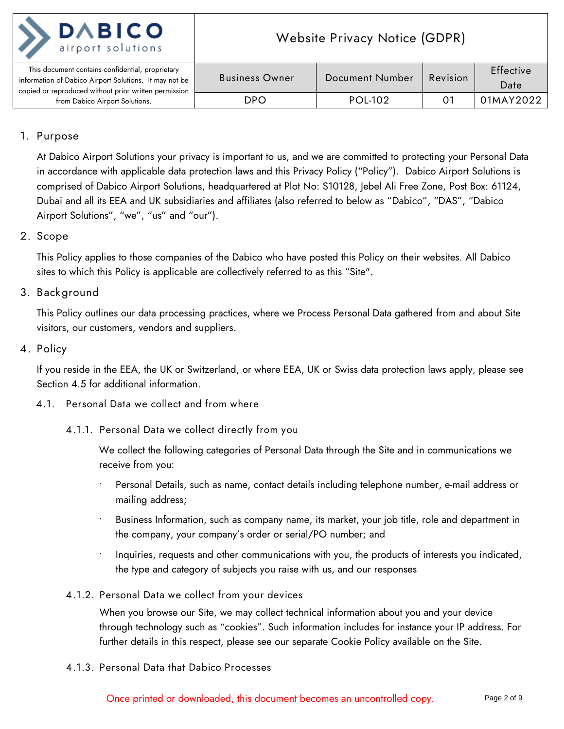| <b>DABICO</b><br>airport solutions             |
|------------------------------------------------|
| This document contains confidential, proprieta |

| This document contains confidential, proprietary<br>information of Dabico Airport Solutions. It may not be<br>copied or reproduced without prior written permission | <b>Business Owner</b> | Document Number | Revision | Effective<br>Date |
|---------------------------------------------------------------------------------------------------------------------------------------------------------------------|-----------------------|-----------------|----------|-------------------|
| from Dabico Airport Solutions.                                                                                                                                      | DPO                   | <b>POL-102</b>  |          | 01MAY2022         |

## <span id="page-1-0"></span>**1. Purpose**

At Dabico Airport Solutions your privacy is important to us, and we are committed to protecting your Personal Data in accordance with applicable data protection laws and this Privacy Policy ("Policy"). Dabico Airport Solutions is comprised of Dabico Airport Solutions, headquartered at Plot No: S10128, Jebel Ali Free Zone, Post Box: 61124, Dubai and all its EEA and UK subsidiaries and affiliates (also referred to below as "Dabico", "DAS", "Dabico Airport Solutions", "we", "us" and "our").

## <span id="page-1-1"></span>**2. Scope**

This Policy applies to those companies of the Dabico who have posted this Policy on their websites. All Dabico sites to which this Policy is applicable are collectively referred to as this "Site".

## <span id="page-1-2"></span>**3. Background**

This Policy outlines our data processing practices, where we Process Personal Data gathered from and about Site visitors, our customers, vendors and suppliers.

#### <span id="page-1-3"></span>**4. Policy**

If you reside in the EEA, the UK or Switzerland, or where EEA, UK or Swiss data protection laws apply, please see Section 4.5 for additional information.

#### <span id="page-1-5"></span><span id="page-1-4"></span>**4.1. Personal Data we collect and from where**

**4.1.1. Personal Data we collect directly from you**

We collect the following categories of Personal Data through the Site and in communications we receive from you:

- Personal Details, such as name, contact details including telephone number, e-mail address or mailing address;
- Business Information, such as company name, its market, your job title, role and department in the company, your company's order or serial/PO number; and
- Inquiries, requests and other communications with you, the products of interests you indicated, the type and category of subjects you raise with us, and our responses
- <span id="page-1-6"></span>**4.1.2. Personal Data we collect from your devices**

When you browse our Site, we may collect technical information about you and your device through technology such as "cookies". Such information includes for instance your IP address. For further details in this respect, please see our separate Cookie Policy available on the Site.

<span id="page-1-7"></span>**4.1.3. Personal Data that Dabico Processes**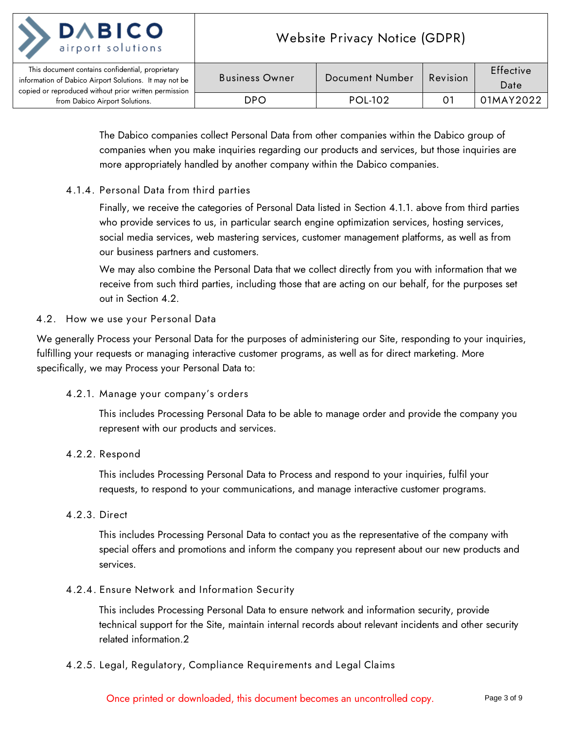

The Dabico companies collect Personal Data from other companies within the Dabico group of companies when you make inquiries regarding our products and services, but those inquiries are more appropriately handled by another company within the Dabico companies.

## <span id="page-2-0"></span>**4.1.4. Personal Data from third parties**

Finally, we receive the categories of Personal Data listed in Section 4.1.1. above from third parties who provide services to us, in particular search engine optimization services, hosting services, social media services, web mastering services, customer management platforms, as well as from our business partners and customers.

We may also combine the Personal Data that we collect directly from you with information that we receive from such third parties, including those that are acting on our behalf, for the purposes set out in Section 4.2.

#### <span id="page-2-1"></span>**4.2. How we use your Personal Data**

<span id="page-2-2"></span>We generally Process your Personal Data for the purposes of administering our Site, responding to your inquiries, fulfilling your requests or managing interactive customer programs, as well as for direct marketing. More specifically, we may Process your Personal Data to:

## **4.2.1. Manage your company's orders**

This includes Processing Personal Data to be able to manage order and provide the company you represent with our products and services.

#### <span id="page-2-3"></span>**4.2.2. Respond**

This includes Processing Personal Data to Process and respond to your inquiries, fulfil your requests, to respond to your communications, and manage interactive customer programs.

#### <span id="page-2-4"></span>**4.2.3. Direct**

This includes Processing Personal Data to contact you as the representative of the company with special offers and promotions and inform the company you represent about our new products and services.

#### <span id="page-2-5"></span>**4.2.4. Ensure Network and Information Security**

This includes Processing Personal Data to ensure network and information security, provide technical support for the Site, maintain internal records about relevant incidents and other security related information.2

#### <span id="page-2-6"></span>**4.2.5. Legal, Regulatory, Compliance Requirements and Legal Claims**

Once printed or downloaded, this document becomes an uncontrolled copy. Page 3 of 9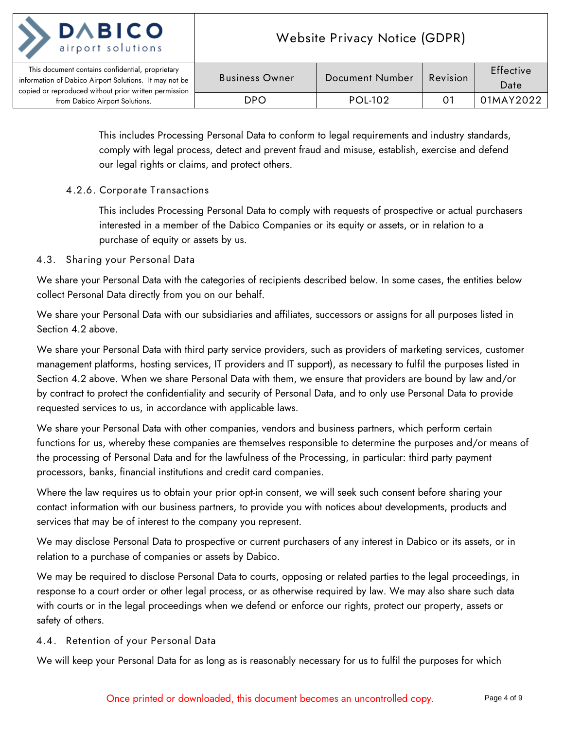

| This document contains confidential, proprietary<br>information of Dabico Airport Solutions. It may not be<br>copied or reproduced without prior written permission | <b>Business Owner</b> | Document Number | Revision | Effective<br>Date |
|---------------------------------------------------------------------------------------------------------------------------------------------------------------------|-----------------------|-----------------|----------|-------------------|
| from Dabico Airport Solutions.                                                                                                                                      | DPO                   | <b>POL-102</b>  |          | 01MAY2022         |

This includes Processing Personal Data to conform to legal requirements and industry standards, comply with legal process, detect and prevent fraud and misuse, establish, exercise and defend our legal rights or claims, and protect others.

## <span id="page-3-0"></span>**4.2.6. Corporate Transactions**

This includes Processing Personal Data to comply with requests of prospective or actual purchasers interested in a member of the Dabico Companies or its equity or assets, or in relation to a purchase of equity or assets by us.

## <span id="page-3-1"></span>**4.3. Sharing your Personal Data**

We share your Personal Data with the categories of recipients described below. In some cases, the entities below collect Personal Data directly from you on our behalf.

We share your Personal Data with our subsidiaries and affiliates, successors or assigns for all purposes listed in Section 4.2 above.

We share your Personal Data with third party service providers, such as providers of marketing services, customer management platforms, hosting services, IT providers and IT support), as necessary to fulfil the purposes listed in Section 4.2 above. When we share Personal Data with them, we ensure that providers are bound by law and/or by contract to protect the confidentiality and security of Personal Data, and to only use Personal Data to provide requested services to us, in accordance with applicable laws.

We share your Personal Data with other companies, vendors and business partners, which perform certain functions for us, whereby these companies are themselves responsible to determine the purposes and/or means of the processing of Personal Data and for the lawfulness of the Processing, in particular: third party payment processors, banks, financial institutions and credit card companies.

Where the law requires us to obtain your prior opt-in consent, we will seek such consent before sharing your contact information with our business partners, to provide you with notices about developments, products and services that may be of interest to the company you represent.

We may disclose Personal Data to prospective or current purchasers of any interest in Dabico or its assets, or in relation to a purchase of companies or assets by Dabico.

We may be required to disclose Personal Data to courts, opposing or related parties to the legal proceedings, in response to a court order or other legal process, or as otherwise required by law. We may also share such data with courts or in the legal proceedings when we defend or enforce our rights, protect our property, assets or safety of others.

## <span id="page-3-2"></span>**4.4. Retention of your Personal Data**

We will keep your Personal Data for as long as is reasonably necessary for us to fulfil the purposes for which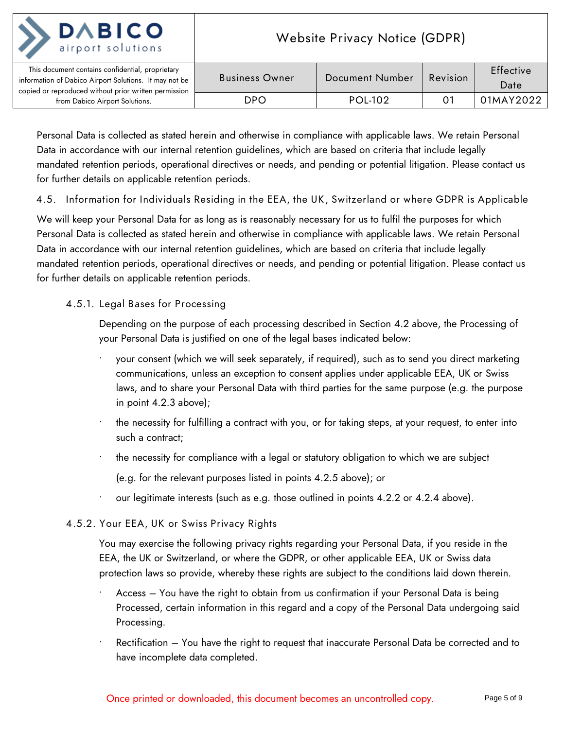| <b>DABICO</b><br>airport solutions                                                                                                                                  | Website Privacy Notice (GDPR) |                 |          |                   |
|---------------------------------------------------------------------------------------------------------------------------------------------------------------------|-------------------------------|-----------------|----------|-------------------|
| This document contains confidential, proprietary<br>information of Dabico Airport Solutions. It may not be<br>copied or reproduced without prior written permission | <b>Business Owner</b>         | Document Number | Revision | Effective<br>Date |
| from Dabico Airport Solutions.                                                                                                                                      | DPO                           | <b>POL-102</b>  | 0.       | 01MAY2022         |

Personal Data is collected as stated herein and otherwise in compliance with applicable laws. We retain Personal Data in accordance with our internal retention guidelines, which are based on criteria that include legally mandated retention periods, operational directives or needs, and pending or potential litigation. Please contact us for further details on applicable retention periods.

<span id="page-4-0"></span>**4.5. Information for Individuals Residing in the EEA, the UK, Switzerland or where GDPR is Applicable**

We will keep your Personal Data for as long as is reasonably necessary for us to fulfil the purposes for which Personal Data is collected as stated herein and otherwise in compliance with applicable laws. We retain Personal Data in accordance with our internal retention guidelines, which are based on criteria that include legally mandated retention periods, operational directives or needs, and pending or potential litigation. Please contact us for further details on applicable retention periods.

## <span id="page-4-1"></span>**4.5.1. Legal Bases for Processing**

Depending on the purpose of each processing described in Section 4.2 above, the Processing of your Personal Data is justified on one of the legal bases indicated below:

- your consent (which we will seek separately, if required), such as to send you direct marketing communications, unless an exception to consent applies under applicable EEA, UK or Swiss laws, and to share your Personal Data with third parties for the same purpose (e.g. the purpose in point 4.2.3 above);
- the necessity for fulfilling a contract with you, or for taking steps, at your request, to enter into such a contract;
- the necessity for compliance with a legal or statutory obligation to which we are subject (e.g. for the relevant purposes listed in points 4.2.5 above); or
- our legitimate interests (such as e.g. those outlined in points 4.2.2 or 4.2.4 above).

#### <span id="page-4-2"></span>**4.5.2. Your EEA, UK or Swiss Privacy Rights**

You may exercise the following privacy rights regarding your Personal Data, if you reside in the EEA, the UK or Switzerland, or where the GDPR, or other applicable EEA, UK or Swiss data protection laws so provide, whereby these rights are subject to the conditions laid down therein.

- Access You have the right to obtain from us confirmation if your Personal Data is being Processed, certain information in this regard and a copy of the Personal Data undergoing said Processing.
- Rectification You have the right to request that inaccurate Personal Data be corrected and to have incomplete data completed.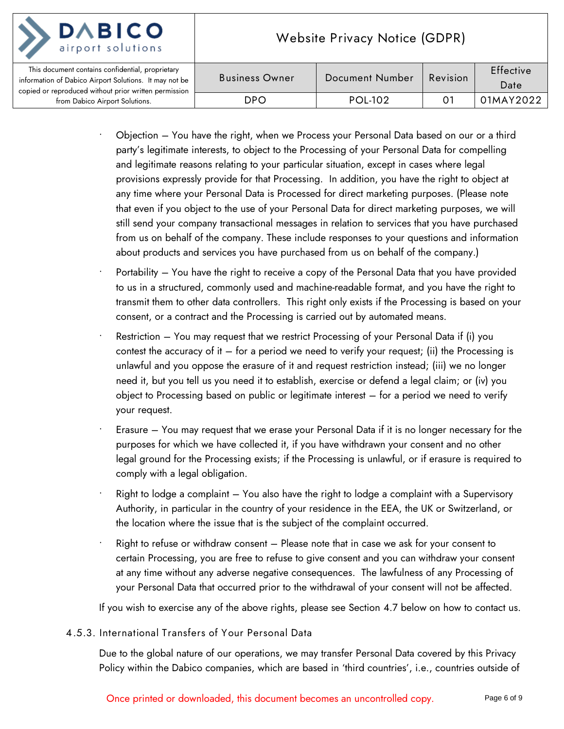| <b>DABICO</b>                                                                                                                                                       | <b>Website Privacy Notice (GDPR)</b> |                 |            |                          |
|---------------------------------------------------------------------------------------------------------------------------------------------------------------------|--------------------------------------|-----------------|------------|--------------------------|
| This document contains confidential, proprietary<br>information of Dabico Airport Solutions. It may not be<br>copied or reproduced without prior written permission | <b>Business Owner</b>                | Document Number | Revision   | <b>Effective</b><br>Date |
| from Dabico Airport Solutions.                                                                                                                                      | DPO.                                 | <b>POL-102</b>  | $O^{\tau}$ | 01MAY2022                |

- Objection You have the right, when we Process your Personal Data based on our or a third party's legitimate interests, to object to the Processing of your Personal Data for compelling and legitimate reasons relating to your particular situation, except in cases where legal provisions expressly provide for that Processing. In addition, you have the right to object at any time where your Personal Data is Processed for direct marketing purposes. (Please note that even if you object to the use of your Personal Data for direct marketing purposes, we will still send your company transactional messages in relation to services that you have purchased from us on behalf of the company. These include responses to your questions and information about products and services you have purchased from us on behalf of the company.)
- Portability You have the right to receive a copy of the Personal Data that you have provided to us in a structured, commonly used and machine-readable format, and you have the right to transmit them to other data controllers. This right only exists if the Processing is based on your consent, or a contract and the Processing is carried out by automated means.
- Restriction You may request that we restrict Processing of your Personal Data if (i) you contest the accuracy of it  $-$  for a period we need to verify your request; (ii) the Processing is unlawful and you oppose the erasure of it and request restriction instead; (iii) we no longer need it, but you tell us you need it to establish, exercise or defend a legal claim; or (iv) you object to Processing based on public or legitimate interest – for a period we need to verify your request.
- Erasure You may request that we erase your Personal Data if it is no longer necessary for the purposes for which we have collected it, if you have withdrawn your consent and no other legal ground for the Processing exists; if the Processing is unlawful, or if erasure is required to comply with a legal obligation.
- Right to lodge a complaint You also have the right to lodge a complaint with a Supervisory Authority, in particular in the country of your residence in the EEA, the UK or Switzerland, or the location where the issue that is the subject of the complaint occurred.
- Right to refuse or withdraw consent Please note that in case we ask for your consent to certain Processing, you are free to refuse to give consent and you can withdraw your consent at any time without any adverse negative consequences. The lawfulness of any Processing of your Personal Data that occurred prior to the withdrawal of your consent will not be affected.

If you wish to exercise any of the above rights, please see Section 4.7 below on how to contact us.

## <span id="page-5-0"></span>**4.5.3. International Transfers of Your Personal Data**

Due to the global nature of our operations, we may transfer Personal Data covered by this Privacy Policy within the Dabico companies, which are based in 'third countries', i.e., countries outside of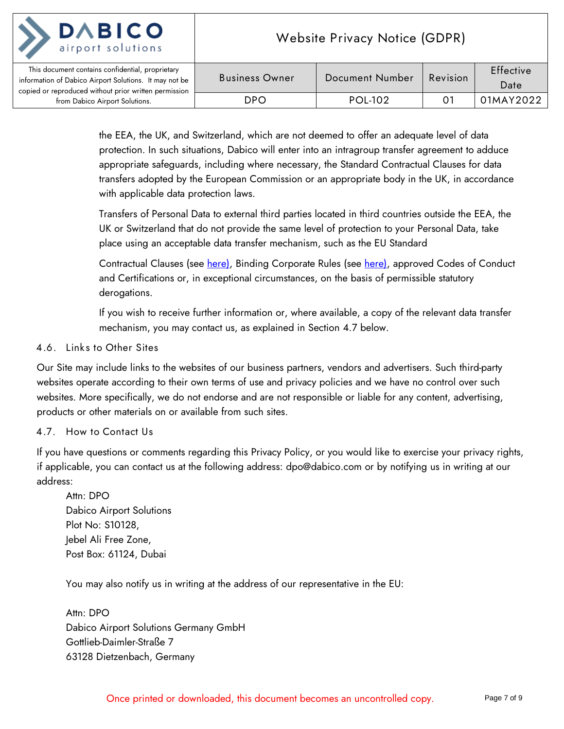

the EEA, the UK, and Switzerland, which are not deemed to offer an adequate level of data protection. In such situations, Dabico will enter into an intragroup transfer agreement to adduce appropriate safeguards, including where necessary, the Standard Contractual Clauses for data transfers adopted by the European Commission or an appropriate body in the UK, in accordance with applicable data protection laws.

Transfers of Personal Data to external third parties located in third countries outside the EEA, the UK or Switzerland that do not provide the same level of protection to your Personal Data, take place using an acceptable data transfer mechanism, such as the EU Standard

Contractual Clauses (see [here\),](https://ec.europa.eu/info/law/law-topic/data-protection/data-transfers-outside-eu/model-contracts-transfer-personal-data-third-countries_en) Binding Corporate Rules (see [here\),](https://ec.europa.eu/info/law/law-topic/data-protection/data-transfers-outside-eu/binding-corporate-rules_en) approved Codes of Conduct and Certifications or, in exceptional circumstances, on the basis of permissible statutory derogations.

If you wish to receive further information or, where available, a copy of the relevant data transfer mechanism, you may contact us, as explained in Section 4.7 below.

#### <span id="page-6-0"></span>**4.6. Links to Other Sites**

Our Site may include links to the websites of our business partners, vendors and advertisers. Such third-party websites operate according to their own terms of use and privacy policies and we have no control over such websites. More specifically, we do not endorse and are not responsible or liable for any content, advertising, products or other materials on or available from such sites.

#### <span id="page-6-1"></span>**4.7. How to Contact Us**

If you have questions or comments regarding this Privacy Policy, or you would like to exercise your privacy rights, if applicable, you can contact us at the following address: dpo@dabico.com or by notifying us in writing at our address:

Attn: DPO Dabico Airport Solutions Plot No: S10128, Jebel Ali Free Zone, Post Box: 61124, Dubai

You may also notify us in writing at the address of our representative in the EU:

Attn: DPO Dabico Airport Solutions Germany GmbH Gottlieb-Daimler-Straße 7 63128 Dietzenbach, Germany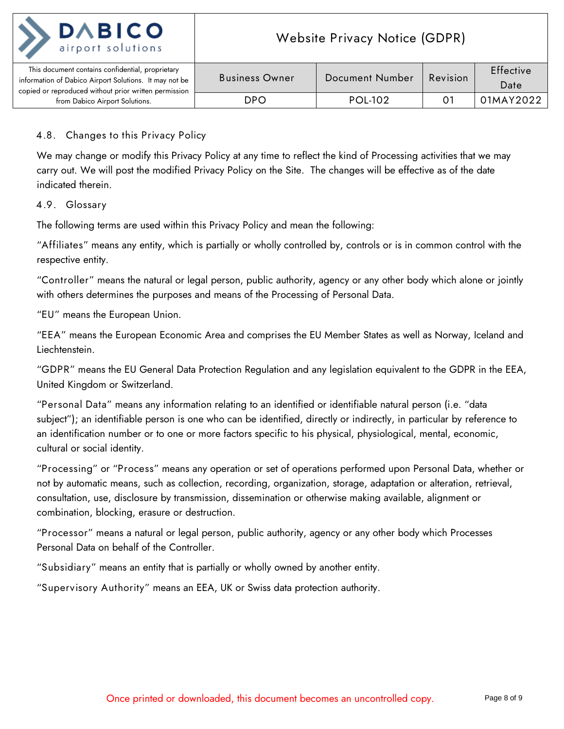

| This document contains confidential, proprietary<br>information of Dabico Airport Solutions. It may not be | <b>Business Owner</b> | Document Number | Revision | Effective |
|------------------------------------------------------------------------------------------------------------|-----------------------|-----------------|----------|-----------|
|                                                                                                            |                       |                 |          | Date      |
| copied or reproduced without prior written permission                                                      |                       |                 |          |           |
| from Dabico Airport Solutions.                                                                             | DPO                   | POL-102         |          | 01MAY2022 |

## <span id="page-7-0"></span>**4.8. Changes to this Privacy Policy**

We may change or modify this Privacy Policy at any time to reflect the kind of Processing activities that we may carry out. We will post the modified Privacy Policy on the Site. The changes will be effective as of the date indicated therein.

#### <span id="page-7-1"></span>**4.9. Glossary**

The following terms are used within this Privacy Policy and mean the following:

"**Affiliates**" means any entity, which is partially or wholly controlled by, controls or is in common control with the respective entity.

"**Controller**" means the natural or legal person, public authority, agency or any other body which alone or jointly with others determines the purposes and means of the Processing of Personal Data.

"**EU**" means the European Union.

"**EEA**" means the European Economic Area and comprises the EU Member States as well as Norway, Iceland and Liechtenstein.

"**GDPR**" means the EU General Data Protection Regulation and any legislation equivalent to the GDPR in the EEA, United Kingdom or Switzerland.

"**Personal Data**" means any information relating to an identified or identifiable natural person (i.e. "data subject"); an identifiable person is one who can be identified, directly or indirectly, in particular by reference to an identification number or to one or more factors specific to his physical, physiological, mental, economic, cultural or social identity.

"**Processing**" or "**Process**" means any operation or set of operations performed upon Personal Data, whether or not by automatic means, such as collection, recording, organization, storage, adaptation or alteration, retrieval, consultation, use, disclosure by transmission, dissemination or otherwise making available, alignment or combination, blocking, erasure or destruction.

"**Processor**" means a natural or legal person, public authority, agency or any other body which Processes Personal Data on behalf of the Controller.

"**Subsidiary**" means an entity that is partially or wholly owned by another entity.

"**Supervisory Authority**" means an EEA, UK or Swiss data protection authority.